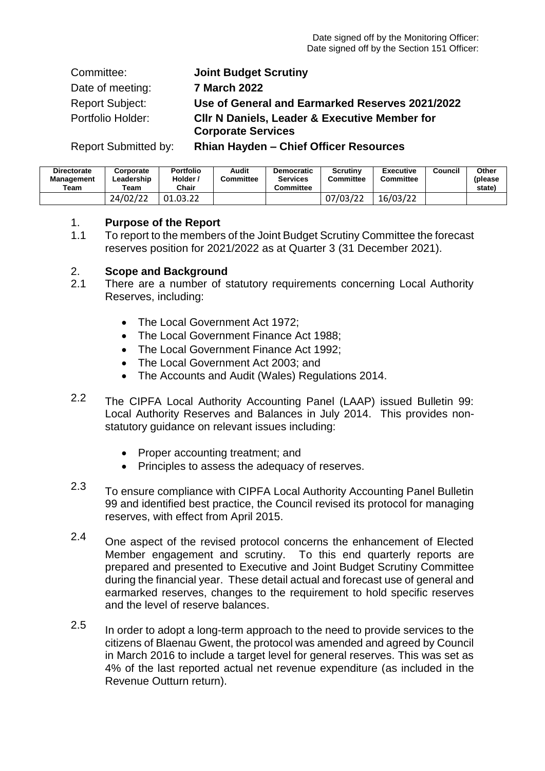Committee: **Joint Budget Scrutiny** Date of meeting: **7 March 2022** Report Subject: **Use of General and Earmarked Reserves 2021/2022** Portfolio Holder: **Cllr N Daniels, Leader & Executive Member for Corporate Services**

Report Submitted by: **Rhian Hayden – Chief Officer Resources**

| <b>Directorate</b><br><b>Management</b><br>Team | Corporate<br>∟eadership<br>Team | <b>Portfolio</b><br>Holder /<br>Chair | Audit<br>Committee | <b>Democratic</b><br><b>Services</b><br>Committee | Scrutiny<br>Committee | <b>Executive</b><br>Committee | Council | Other<br>(please<br>state) |
|-------------------------------------------------|---------------------------------|---------------------------------------|--------------------|---------------------------------------------------|-----------------------|-------------------------------|---------|----------------------------|
|                                                 | 24/02/22                        | 01.03.22                              |                    |                                                   | 07/03/22              | 16/03/22                      |         |                            |

# 1. **Purpose of the Report**

1.1 To report to the members of the Joint Budget Scrutiny Committee the forecast reserves position for 2021/2022 as at Quarter 3 (31 December 2021).

# 2. **Scope and Background**

- 2.1 There are a number of statutory requirements concerning Local Authority Reserves, including:
	- The Local Government Act 1972:
	- The Local Government Finance Act 1988:
	- The Local Government Finance Act 1992:
	- The Local Government Act 2003; and
	- The Accounts and Audit (Wales) Regulations 2014.
- 2.2 The CIPFA Local Authority Accounting Panel (LAAP) issued Bulletin 99: Local Authority Reserves and Balances in July 2014. This provides nonstatutory guidance on relevant issues including:
	- Proper accounting treatment; and
	- Principles to assess the adequacy of reserves.
- 2.3 To ensure compliance with CIPFA Local Authority Accounting Panel Bulletin 99 and identified best practice, the Council revised its protocol for managing reserves, with effect from April 2015.
- 2.4 One aspect of the revised protocol concerns the enhancement of Elected Member engagement and scrutiny. To this end quarterly reports are prepared and presented to Executive and Joint Budget Scrutiny Committee during the financial year. These detail actual and forecast use of general and earmarked reserves, changes to the requirement to hold specific reserves and the level of reserve balances.
- 2.5 In order to adopt a long-term approach to the need to provide services to the citizens of Blaenau Gwent, the protocol was amended and agreed by Council in March 2016 to include a target level for general reserves. This was set as 4% of the last reported actual net revenue expenditure (as included in the Revenue Outturn return).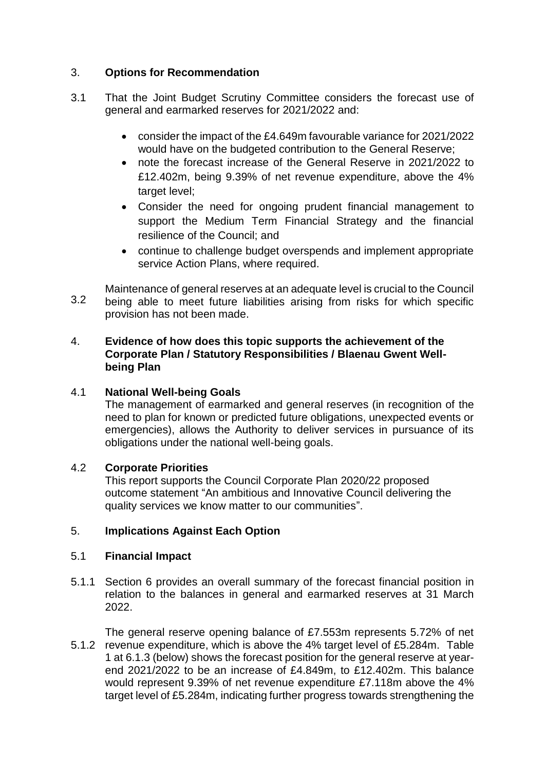## 3. **Options for Recommendation**

- 3.1 That the Joint Budget Scrutiny Committee considers the forecast use of general and earmarked reserves for 2021/2022 and:
	- consider the impact of the £4.649m favourable variance for 2021/2022 would have on the budgeted contribution to the General Reserve;
	- note the forecast increase of the General Reserve in 2021/2022 to £12.402m, being 9.39% of net revenue expenditure, above the 4% target level;
	- Consider the need for ongoing prudent financial management to support the Medium Term Financial Strategy and the financial resilience of the Council; and
	- continue to challenge budget overspends and implement appropriate service Action Plans, where required.
- 3.2 Maintenance of general reserves at an adequate level is crucial to the Council being able to meet future liabilities arising from risks for which specific provision has not been made.

## 4. **Evidence of how does this topic supports the achievement of the Corporate Plan / Statutory Responsibilities / Blaenau Gwent Wellbeing Plan**

### 4.1 **National Well-being Goals**

The management of earmarked and general reserves (in recognition of the need to plan for known or predicted future obligations, unexpected events or emergencies), allows the Authority to deliver services in pursuance of its obligations under the national well-being goals.

#### 4.2 **Corporate Priorities**

This report supports the Council Corporate Plan 2020/22 proposed outcome statement "An ambitious and Innovative Council delivering the quality services we know matter to our communities".

### 5. **Implications Against Each Option**

#### 5.1 **Financial Impact**

5.1.1 Section 6 provides an overall summary of the forecast financial position in relation to the balances in general and earmarked reserves at 31 March 2022.

5.1.2 revenue expenditure, which is above the 4% target level of £5.284m. Table The general reserve opening balance of £7.553m represents 5.72% of net 1 at 6.1.3 (below) shows the forecast position for the general reserve at yearend 2021/2022 to be an increase of £4.849m, to £12.402m. This balance would represent 9.39% of net revenue expenditure £7.118m above the 4% target level of £5.284m, indicating further progress towards strengthening the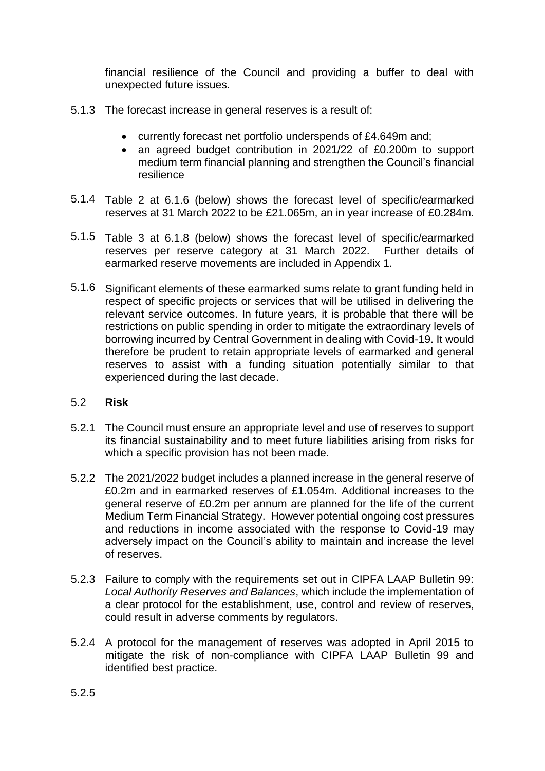financial resilience of the Council and providing a buffer to deal with unexpected future issues.

- 5.1.3 The forecast increase in general reserves is a result of:
	- currently forecast net portfolio underspends of £4.649m and;
	- an agreed budget contribution in 2021/22 of £0.200m to support medium term financial planning and strengthen the Council's financial resilience
- 5.1.4 Table 2 at 6.1.6 (below) shows the forecast level of specific/earmarked reserves at 31 March 2022 to be £21.065m, an in year increase of £0.284m.
- 5.1.5 Table 3 at 6.1.8 (below) shows the forecast level of specific/earmarked reserves per reserve category at 31 March 2022. Further details of earmarked reserve movements are included in Appendix 1.
- 5.1.6 Significant elements of these earmarked sums relate to grant funding held in respect of specific projects or services that will be utilised in delivering the relevant service outcomes. In future years, it is probable that there will be restrictions on public spending in order to mitigate the extraordinary levels of borrowing incurred by Central Government in dealing with Covid-19. It would therefore be prudent to retain appropriate levels of earmarked and general reserves to assist with a funding situation potentially similar to that experienced during the last decade.

#### 5.2 **Risk**

- 5.2.1 The Council must ensure an appropriate level and use of reserves to support its financial sustainability and to meet future liabilities arising from risks for which a specific provision has not been made.
- 5.2.2 The 2021/2022 budget includes a planned increase in the general reserve of £0.2m and in earmarked reserves of £1.054m. Additional increases to the general reserve of £0.2m per annum are planned for the life of the current Medium Term Financial Strategy. However potential ongoing cost pressures and reductions in income associated with the response to Covid-19 may adversely impact on the Council's ability to maintain and increase the level of reserves.
- 5.2.3 Failure to comply with the requirements set out in CIPFA LAAP Bulletin 99: *Local Authority Reserves and Balances*, which include the implementation of a clear protocol for the establishment, use, control and review of reserves, could result in adverse comments by regulators.
- 5.2.4 A protocol for the management of reserves was adopted in April 2015 to mitigate the risk of non-compliance with CIPFA LAAP Bulletin 99 and identified best practice.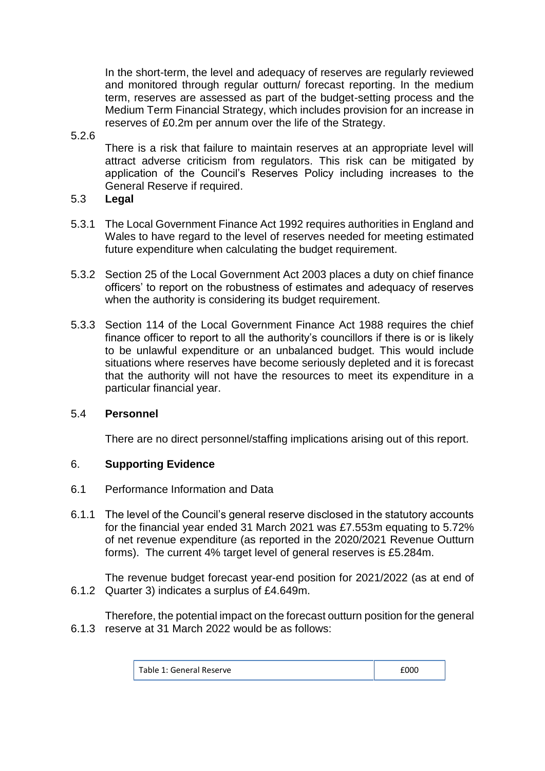In the short-term, the level and adequacy of reserves are regularly reviewed and monitored through regular outturn/ forecast reporting. In the medium term, reserves are assessed as part of the budget-setting process and the Medium Term Financial Strategy, which includes provision for an increase in reserves of £0.2m per annum over the life of the Strategy.

## 5.2.6

There is a risk that failure to maintain reserves at an appropriate level will attract adverse criticism from regulators. This risk can be mitigated by application of the Council's Reserves Policy including increases to the General Reserve if required.

- 5.3 **Legal**
- 5.3.1 The Local Government Finance Act 1992 requires authorities in England and Wales to have regard to the level of reserves needed for meeting estimated future expenditure when calculating the budget requirement.
- 5.3.2 Section 25 of the Local Government Act 2003 places a duty on chief finance officers' to report on the robustness of estimates and adequacy of reserves when the authority is considering its budget requirement.
- 5.3.3 Section 114 of the Local Government Finance Act 1988 requires the chief finance officer to report to all the authority's councillors if there is or is likely to be unlawful expenditure or an unbalanced budget. This would include situations where reserves have become seriously depleted and it is forecast that the authority will not have the resources to meet its expenditure in a particular financial year.

# 5.4 **Personnel**

There are no direct personnel/staffing implications arising out of this report.

# 6. **Supporting Evidence**

- 6.1 Performance Information and Data
- 6.1.1 The level of the Council's general reserve disclosed in the statutory accounts for the financial year ended 31 March 2021 was £7.553m equating to 5.72% of net revenue expenditure (as reported in the 2020/2021 Revenue Outturn forms). The current 4% target level of general reserves is £5.284m.

6.1.2 Quarter 3) indicates a surplus of £4.649m. The revenue budget forecast year-end position for 2021/2022 (as at end of

6.1.3 reserve at 31 March 2022 would be as follows: Therefore, the potential impact on the forecast outturn position for the general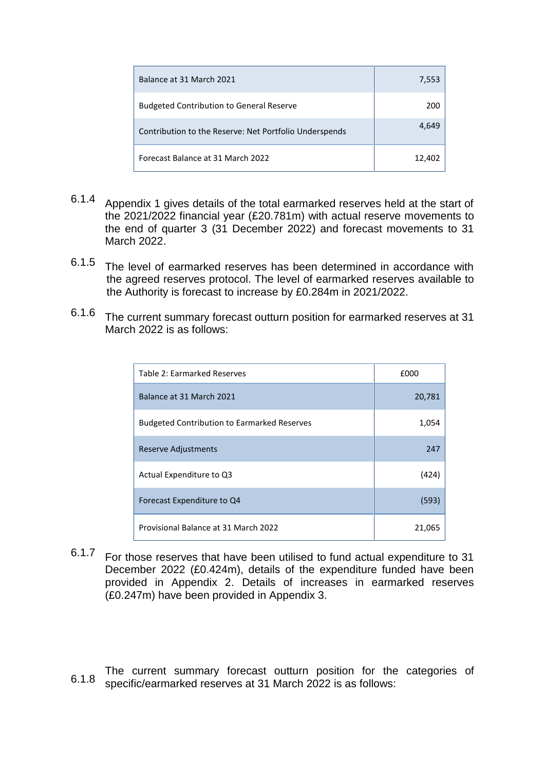| Balance at 31 March 2021                               | 7,553  |
|--------------------------------------------------------|--------|
| <b>Budgeted Contribution to General Reserve</b>        | 200    |
| Contribution to the Reserve: Net Portfolio Underspends | 4.649  |
| Forecast Balance at 31 March 2022                      | 12,402 |

- 6.1.4 Appendix 1 gives details of the total earmarked reserves held at the start of the 2021/2022 financial year (£20.781m) with actual reserve movements to the end of quarter 3 (31 December 2022) and forecast movements to 31 March 2022.
- 6.1.5 The level of earmarked reserves has been determined in accordance with the agreed reserves protocol. The level of earmarked reserves available to the Authority is forecast to increase by £0.284m in 2021/2022.
- 6.1.6 The current summary forecast outturn position for earmarked reserves at 31 March 2022 is as follows:

| Table 2: Earmarked Reserves                        | £000   |  |
|----------------------------------------------------|--------|--|
| Balance at 31 March 2021                           | 20,781 |  |
| <b>Budgeted Contribution to Earmarked Reserves</b> | 1,054  |  |
| Reserve Adjustments                                | 247    |  |
| Actual Expenditure to Q3                           | (424)  |  |
| Forecast Expenditure to Q4                         | (593)  |  |
| Provisional Balance at 31 March 2022               | 21,065 |  |

6.1.7 For those reserves that have been utilised to fund actual expenditure to 31 December 2022 (£0.424m), details of the expenditure funded have been provided in Appendix 2. Details of increases in earmarked reserves (£0.247m) have been provided in Appendix 3.

6.1.8 The current summary forecast outturn position for the categories of specific/earmarked reserves at 31 March 2022 is as follows: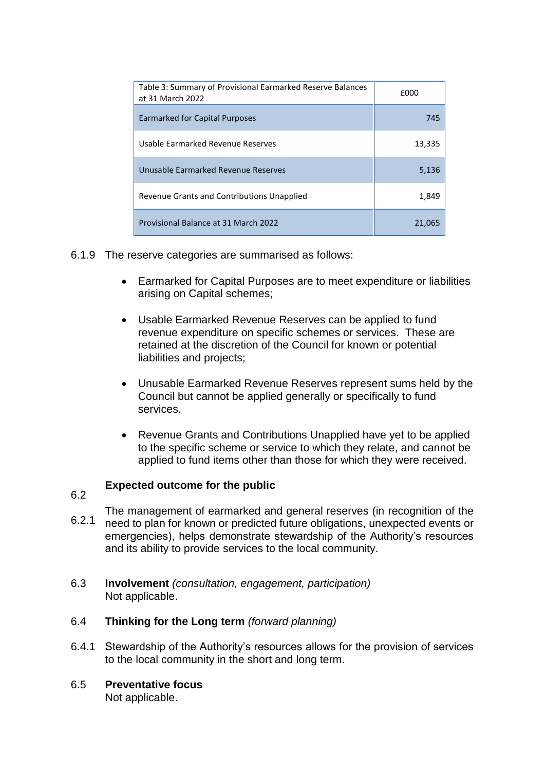| Table 3: Summary of Provisional Earmarked Reserve Balances<br>at 31 March 2022 | £000   |
|--------------------------------------------------------------------------------|--------|
| Earmarked for Capital Purposes                                                 | 745    |
| Usable Earmarked Revenue Reserves                                              | 13,335 |
| Unusable Earmarked Revenue Reserves                                            | 5,136  |
| Revenue Grants and Contributions Unapplied                                     | 1,849  |
| Provisional Balance at 31 March 2022                                           | 21.065 |

- 6.1.9 The reserve categories are summarised as follows:
	- Earmarked for Capital Purposes are to meet expenditure or liabilities arising on Capital schemes;
	- Usable Earmarked Revenue Reserves can be applied to fund revenue expenditure on specific schemes or services. These are retained at the discretion of the Council for known or potential liabilities and projects;
	- Unusable Earmarked Revenue Reserves represent sums held by the Council but cannot be applied generally or specifically to fund services.
	- Revenue Grants and Contributions Unapplied have yet to be applied to the specific scheme or service to which they relate, and cannot be applied to fund items other than those for which they were received.

## **Expected outcome for the public**

- 6.2
- 6.2.1 The management of earmarked and general reserves (in recognition of the need to plan for known or predicted future obligations, unexpected events or emergencies), helps demonstrate stewardship of the Authority's resources and its ability to provide services to the local community.
- 6.3 **Involvement** *(consultation, engagement, participation)* Not applicable.
- 6.4 **Thinking for the Long term** *(forward planning)*
- 6.4.1 Stewardship of the Authority's resources allows for the provision of services to the local community in the short and long term.
- 6.5 **Preventative focus**  Not applicable.